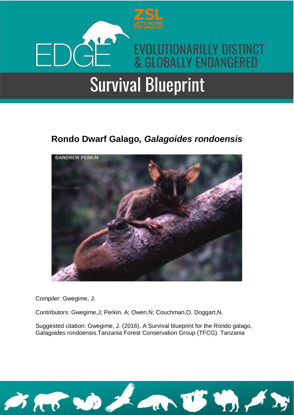

### **Rondo Dwarf Galago***, Galagoides rondoensis*



Compiler: Gwegime, J.

Contributors: Gwegime,J; Perkin, A; Owen,N; Couchman,O. Doggart,N.

Suggested citation: Gwegime, J. (2016). A Survival blueprint for the Rondo galago, Galagoides rondoensis.Tanzania Forest Conservation Group (TFCG). Tanzania

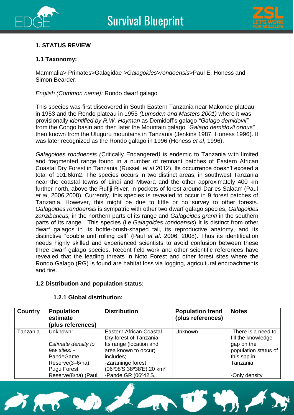



#### **1. STATUS REVIEW**

#### **1.1 Taxonomy:**

Mammalia*>* Primates>Galagidae *>Galagoides>rondoensis>*Paul E. Honess and Simon Bearder.

*English (Common name):* Rondo dwarf galago

This species was first discovered in South Eastern Tanzania near Makonde plateau in 1953 and the Rondo plateau in 1955 *(Lumsden and Masters 2001)* where it was provisionally *identified by R.W. Hayman* as Demidoff's galago *"Galago demidovii"*  from the Congo basin and then later the Mountain galago *"Galago demidovii orinus"*  then known from the Uluguru mountains in Tanzania (Jenkins 1987, Honess 1996). It was later recognized as the Rondo galago in 1996 (Honess *et al*, 1996).

*Galagoides rondoensis (*Critically Endangered*)* is endemic to Tanzania with limited and fragmented range found in a number of remnant patches of Eastern African Coastal Dry Forest in Tanzania (Russell *et al* 2012). Its occurrence doesn't exceed a total of 101.6km2. The species occurs in two distinct areas, in southwest Tanzania near the coastal towns of Lindi and Mtwara and the other approximately 400 km further north, above the Rufiji River, in pockets of forest around Dar es Salaam (Paul *et al*, 2006,2008). Currently, this species is revealed to occur in 9 forest patches of Tanzania. However, this might be due to little or no survey to other forests. *Galagoides rondoensis* is sympatric with other two dwarf galago species, *Galagoides zanzibaricus,* in the northern parts of its range and *Galagoides granti* in the southern parts of its range. This species (i.e*.Galagoides rondoensis*) It is distinct from other dwarf galagos in its bottle-brush-shaped tail, its reproductive anatomy, and its distinctive "double unit rolling call" (Paul *et al*. 2006, 2008). Thus its identification needs highly skilled and experienced scientists to avoid confusion between these three dwarf galago species. Recent field work and other scientific references have revealed that the leading threats in Noto Forest and other forest sites where the Rondo Galago (RG) is found are habitat loss via logging, agricultural encroachments and fire.

#### **1.2 Distribution and population status:**

| <b>Country</b> | <b>Population</b><br>estimate<br>(plus references)                                                                     | <b>Distribution</b>                                                                                                                                                                                      | <b>Population trend</b><br>(plus references) | <b>Notes</b>                                                                                                                |
|----------------|------------------------------------------------------------------------------------------------------------------------|----------------------------------------------------------------------------------------------------------------------------------------------------------------------------------------------------------|----------------------------------------------|-----------------------------------------------------------------------------------------------------------------------------|
| Tanzania       | Unknown:<br>Estimate density to<br>few sites: -<br>PandeGame<br>Reserve(3-6/ha),<br>Pugu Forest<br>Reserve(8/ha) (Paul | Eastern African Coastal<br>Dry forest of Tanzania: -<br>Its range (location and<br>area known to occur)<br>includes;<br>-Zaraninge forest<br>(06°08'S,38°38'E),20 km <sup>2</sup><br>-Pande GR (06°42'S, | Unknown                                      | -There is a need to<br>fill the knowledge<br>gap on the<br>population status of<br>this spp in<br>Tanzania<br>-Only density |

#### **1.2.1 Global distribution:**

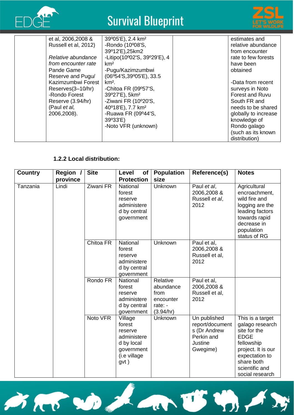



| et al, 2006, 2008 &  | 39°05'E), 2.4 km <sup>2</sup> | estimates and          |
|----------------------|-------------------------------|------------------------|
| Russell et al, 2012) | -Rondo (10°08'S,              | relative abundance     |
|                      | 39°12'E), 25km2               | from encounter         |
| Relative abundance   | -Litipo(10°02'S, 39°29'E), 4  | rate to few forests    |
| from encounter rate  | km <sup>2</sup>               | have been              |
| Pande Game           | -Pugu/Kazimzumbwi             | obtained               |
| Reserve and Pugu/    | (06°54'S,39°05'E), 33.5       |                        |
| Kazimzumbwi Forest   | $km2$ .                       | -Data from recent      |
| Reserves(3-10/hr)    | -Chitoa FR (09°57'S,          | surveys in Noto        |
| -Rondo Forest        | 39°27'E), 5km <sup>2</sup>    | <b>Forest and Ruvu</b> |
| Reserve (3.94/hr)    | -Ziwani FR (10°20'S,          | South FR and           |
| (Paul et al,         | 40°18'E), 7.7 km <sup>2</sup> | needs to be shared     |
| 2006,2008).          | -Ruawa FR (09°44'S,           | globally to increase   |
|                      | 39°33'E)                      | knowledge of           |
|                      | -Noto VFR (unknown)           | Rondo galago           |
|                      |                               | (such as its known     |
|                      |                               | distribution)          |

#### **1.2.2 Local distribution:**

| <b>Country</b> | Region / | <b>Site</b> | Level<br><b>of</b>                                                                              | <b>Population</b>                                                  | Reference(s)                                                                         | <b>Notes</b>                                                                                                                                                                |
|----------------|----------|-------------|-------------------------------------------------------------------------------------------------|--------------------------------------------------------------------|--------------------------------------------------------------------------------------|-----------------------------------------------------------------------------------------------------------------------------------------------------------------------------|
|                | province |             | <b>Protection</b>                                                                               | size                                                               |                                                                                      |                                                                                                                                                                             |
| Tanzania       | Lindi    | Ziwani FR   | National<br>forest<br>reserve<br>administere<br>d by central<br>government                      | Unknown                                                            | Paul et al,<br>2006,2008 &<br>Russell et al,<br>2012                                 | Agricultural<br>encroachment,<br>wild fire and<br>logging are the<br>leading factors<br>towards rapid<br>decrease in<br>population<br>status of RG                          |
|                |          | Chitoa FR   | National<br>forest<br>reserve<br>administere<br>d by central<br>government                      | Unknown                                                            | Paul et al,<br>2006,2008 &<br>Russell et al,<br>2012                                 |                                                                                                                                                                             |
|                |          | Rondo FR    | National<br>forest<br>reserve<br>administere<br>d by central<br>government                      | Relative<br>abundance<br>from<br>encounter<br>rate: -<br>(3.94/hr) | Paul et al,<br>2006,2008 &<br>Russell et al,<br>2012                                 |                                                                                                                                                                             |
|                |          | Noto VFR    | Village<br>forest<br>reserve<br>administere<br>d by local<br>government<br>(i.e village<br>gvt) | Unknown                                                            | Un published<br>report/document<br>s (Dr Andrew<br>Perkin and<br>Justine<br>Gwegime) | This is a target<br>galago research<br>site for the<br><b>EDGE</b><br>fellowship<br>project. It is our<br>expectation to<br>share both<br>scientific and<br>social research |

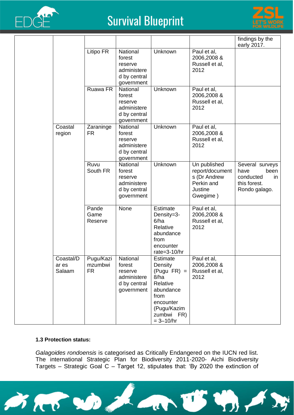



|                              |                                   |                                                                            |                                                                                                                                                 |                                                                                      | findings by the<br>early 2017.                                                      |
|------------------------------|-----------------------------------|----------------------------------------------------------------------------|-------------------------------------------------------------------------------------------------------------------------------------------------|--------------------------------------------------------------------------------------|-------------------------------------------------------------------------------------|
|                              | Litipo FR                         | National<br>forest<br>reserve<br>administere<br>d by central<br>government | Unknown                                                                                                                                         | Paul et al,<br>2006,2008 &<br>Russell et al,<br>2012                                 |                                                                                     |
|                              | Ruawa FR                          | National<br>forest<br>reserve<br>administere<br>d by central<br>government | Unknown                                                                                                                                         | Paul et al,<br>2006,2008 &<br>Russell et al,<br>2012                                 |                                                                                     |
| Coastal<br>region            | Zaraninge<br><b>FR</b>            | National<br>forest<br>reserve<br>administere<br>d by central<br>government | Unknown                                                                                                                                         | Paul et al,<br>2006,2008 &<br>Russell et al,<br>2012                                 |                                                                                     |
|                              | Ruvu<br>South FR                  | National<br>forest<br>reserve<br>administere<br>d by central<br>government | Unknown                                                                                                                                         | Un published<br>report/document<br>s (Dr Andrew<br>Perkin and<br>Justine<br>Gwegime) | Several surveys<br>have<br>been<br>conducted<br>in<br>this forest.<br>Rondo galago. |
|                              | Pande<br>Game<br>Reserve          | None                                                                       | <b>Estimate</b><br>Density=3-<br>6/ha<br>Relative<br>abundance<br>from<br>encounter<br>rate=3-10/hr                                             | Paul et al,<br>2006,2008 &<br>Russell et al,<br>2012                                 |                                                                                     |
| Coastal/D<br>ar es<br>Salaam | Pugu/Kazi<br>mzumbwi<br><b>FR</b> | National<br>forest<br>reserve<br>administere<br>d by central<br>government | <b>Estimate</b><br>Density<br>$(Pugu FR) =$<br>8/ha<br>Relative<br>abundance<br>from<br>encounter<br>(Pugu/Kazim<br>zumbwi FR)<br>$= 3 - 10/hr$ | Paul et al,<br>2006,2008 &<br>Russell et al,<br>2012                                 |                                                                                     |

#### **1.3 Protection status:**

*Galagoides rondoensis* is categorised as Critically Endangered on the IUCN red list. The international Strategic Plan for Biodiversity 2011-2020- Aichi Biodiversity Targets – Strategic Goal C – Target 12, stipulates that: 'By 2020 the extinction of

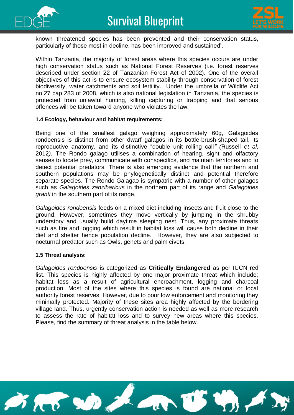



known threatened species has been prevented and their conservation status, particularly of those most in decline, has been improved and sustained'.

Within Tanzania, the majority of forest areas where this species occurs are under high conservation status such as National Forest Reserves (i.e. forest reserves described under section 22 of Tanzanian Forest Act of 2002). One of the overall objectives of this act is to ensure ecosystem stability through conservation of forest biodiversity, water catchments and soil fertility. Under the umbrella of Wildlife Act no.27 cap 283 of 2008, which is also national legislation in Tanzania, the species is protected from unlawful hunting, killing capturing or trapping and that serious offences will be taken toward anyone who violates the law.

#### **1.4 Ecology, behaviour and habitat requirements:**

Being one of the smallest galago weighing approximately 60g, Galagoides rondoensis is distinct from other dwarf galagos in its bottle-brush-shaped tail, its reproductive anatomy, and its distinctive "double unit rolling call*" (*Russell *et al,*  2012*).* The Rondo galago utilises a combination of hearing, sight and olfactory senses to locate prey, communicate with conspecifics, and maintain territories and to detect potential predators*.* There is also emerging evidence that the northern and southern populations may be phylogenetically distinct and potential therefore separate species. The Rondo Galagao is sympatric with a number of other galagos such as *Galagoides zanzibaricus* in the northern part of its range and *Galagoides granti* in the southern part of its range.

*Galagoides rondoensis* feeds on a mixed diet including insects and fruit close to the ground. However, sometimes they move vertically by jumping in the shrubby understory and usually build daytime sleeping nest. Thus, any proximate threats such as fire and logging which result in habitat loss will cause both decline in their diet and shelter hence population decline. However, they are also subjected to nocturnal predator such as Owls, genets and palm civets.

#### **1.5 Threat analysis:**

*Galagoides rondoensis* is categorized as **Critically Endangered** as per IUCN red list. This species is highly affected by one major proximate threat which include; habitat loss as a result of agricultural encroachment, logging and charcoal production. Most of the sites where this species is found are national or local authority forest reserves. However, due to poor low enforcement and monitoring they minimally protected. Majority of these sites area highly affected by the bordering village land. Thus, urgently conservation action is needed as well as more research to assess the rate of habitat loss and to survey new areas where this species. Please, find the summary of threat analysis in the table below.

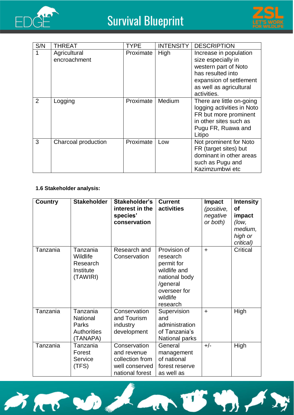



| S/N            | <b>THREAT</b>                | TYPE      | <b>INTENSITY</b> | <b>DESCRIPTION</b>                                                                                                                                             |
|----------------|------------------------------|-----------|------------------|----------------------------------------------------------------------------------------------------------------------------------------------------------------|
| 1              | Agricultural<br>encroachment | Proximate | High             | Increase in population<br>size especially in<br>western part of Noto<br>has resulted into<br>expansion of settlement<br>as well as agricultural<br>activities. |
| $\overline{2}$ | Logging                      | Proximate | Medium           | There are little on-going<br>logging activities in Noto<br>FR but more prominent<br>in other sites such as<br>Pugu FR, Ruawa and<br>Litipo                     |
| 3              | Charcoal production          | Proximate | Low              | Not prominent for Noto<br>FR (target sites) but<br>dominant in other areas<br>such as Pugu and<br>Kazimzumbwi etc                                              |

#### **1.6 Stakeholder analysis:**

| <b>Country</b> | <b>Stakeholder</b>                                                     | Stakeholder's<br>interest in the<br>species'<br>conservation                        | <b>Current</b><br>activities                                                                                                | <b>Impact</b><br>(positive,<br>negative<br>or both) | <b>Intensity</b><br>Οf<br>impact<br>(low,<br>medium,<br>high or<br>critical) |
|----------------|------------------------------------------------------------------------|-------------------------------------------------------------------------------------|-----------------------------------------------------------------------------------------------------------------------------|-----------------------------------------------------|------------------------------------------------------------------------------|
| Tanzania       | Tanzania<br>Wildlife<br>Research<br>Institute<br>(TAWIRI)              | Research and<br>Conservation                                                        | Provision of<br>research<br>permit for<br>wildlife and<br>national body<br>/general<br>overseer for<br>wildlife<br>research | $+$                                                 | <b>Critical</b>                                                              |
| Tanzania       | Tanzania<br><b>National</b><br>Parks<br><b>Authorities</b><br>(TANAPA) | Conservation<br>and Tourism<br>industry<br>development                              | Supervision<br>and<br>administration<br>of Tanzania's<br>National parks                                                     | $\ddot{}$                                           | High                                                                         |
| Tanzania       | Tanzania<br>Forest<br>Service<br>(TFS)                                 | Conservation<br>and revenue<br>collection from<br>well conserved<br>national forest | General<br>management<br>of national<br>forest reserve<br>as well as                                                        | $+/-$                                               | High                                                                         |

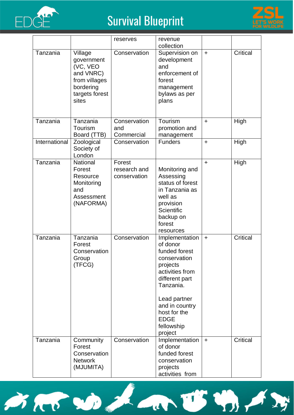



|               |                                                                                                         | reserves                               | revenue<br>collection                                                                                                                                                                                               |           |                 |
|---------------|---------------------------------------------------------------------------------------------------------|----------------------------------------|---------------------------------------------------------------------------------------------------------------------------------------------------------------------------------------------------------------------|-----------|-----------------|
| Tanzania      | Village<br>government<br>(VC, VEO<br>and VNRC)<br>from villages<br>bordering<br>targets forest<br>sites | Conservation                           | Supervision on<br>development<br>and<br>enforcement of<br>forest<br>management<br>bylaws as per<br>plans                                                                                                            | $\ddot{}$ | <b>Critical</b> |
| Tanzania      | Tanzania<br>Tourism<br>Board (TTB)                                                                      | Conservation<br>and<br>Commercial      | Tourism<br>promotion and<br>management                                                                                                                                                                              | $\ddot{}$ | High            |
| International | Zoological<br>Society of<br>London                                                                      | Conservation                           | <b>Funders</b>                                                                                                                                                                                                      | $\ddot{}$ | High            |
| Tanzania      | National<br>Forest<br>Resource<br>Monitoring<br>and<br>Assessment<br>(NAFORMA)                          | Forest<br>research and<br>conservation | Monitoring and<br>Assessing<br>status of forest<br>in Tanzania as<br>well as<br>provision<br><b>Scientific</b><br>backup on<br>forest<br>resources                                                                  | $\ddot{}$ | High            |
| Tanzania      | Tanzania<br>Forest<br>Conservation<br>Group<br>(TFCG)                                                   | Conservation                           | Implementation<br>of donor<br>funded forest<br>conservation<br>projects<br>activities from<br>different part<br>Tanzania.<br>Lead partner<br>and in country<br>host for the<br><b>EDGE</b><br>fellowship<br>project | $\ddot{}$ | <b>Critical</b> |
| Tanzania      | Community<br>Forest<br>Conservation<br><b>Network</b><br>(MJUMITA)                                      | Conservation                           | Implementation<br>of donor<br>funded forest<br>conservation<br>projects<br>activities from                                                                                                                          | $\ddot{}$ | <b>Critical</b> |

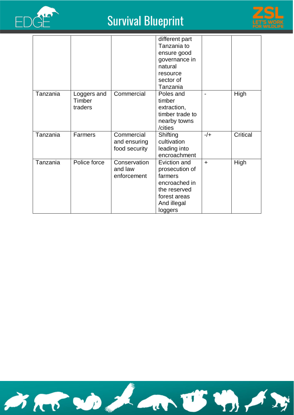



|          |                                  |                                             | different part<br>Tanzania to<br>ensure good<br>governance in<br>natural<br>resource<br>sector of                    |           |          |
|----------|----------------------------------|---------------------------------------------|----------------------------------------------------------------------------------------------------------------------|-----------|----------|
| Tanzania | Loggers and<br>Timber<br>traders | Commercial                                  | Tanzania<br>Poles and<br>timber<br>extraction,<br>timber trade to<br>nearby towns<br>/cities                         |           | High     |
| Tanzania | Farmers                          | Commercial<br>and ensuring<br>food security | Shifting<br>cultivation<br>leading into<br>encroachment                                                              | $-/-$     | Critical |
| Tanzania | Police force                     | Conservation<br>and law<br>enforcement      | Eviction and<br>prosecution of<br>farmers<br>encroached in<br>the reserved<br>forest areas<br>And illegal<br>loggers | $\ddot{}$ | High     |

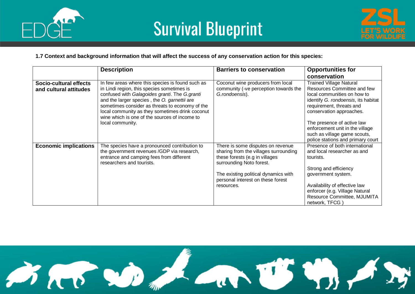



#### **1.7 Context and background information that will affect the success of any conservation action for this species:**

|                                                  | <b>Description</b>                                                                                                                                                                                                                                                                                                                                                         | <b>Barriers to conservation</b>                                                                                                                                                                                                     | <b>Opportunities for</b>                                                                                                                                                                                                                                                                                                          |
|--------------------------------------------------|----------------------------------------------------------------------------------------------------------------------------------------------------------------------------------------------------------------------------------------------------------------------------------------------------------------------------------------------------------------------------|-------------------------------------------------------------------------------------------------------------------------------------------------------------------------------------------------------------------------------------|-----------------------------------------------------------------------------------------------------------------------------------------------------------------------------------------------------------------------------------------------------------------------------------------------------------------------------------|
|                                                  |                                                                                                                                                                                                                                                                                                                                                                            |                                                                                                                                                                                                                                     | conservation                                                                                                                                                                                                                                                                                                                      |
| Socio-cultural effects<br>and cultural attitudes | In few areas where this species is found such as<br>in Lindi region, this species sometimes is<br>confused with Galagoides granti. The G.granti<br>and the larger species, the O. garnettii are<br>sometimes consider as threats to economy of the<br>local community as they sometimes drink coconut<br>wine which is one of the sources of income to<br>local community. | Coconut wine producers from local<br>community (-ve perception towards the<br>G.rondoensis).                                                                                                                                        | <b>Trained Village Natural</b><br>Resources Committee and few<br>local communities on how to<br>identify G. rondoensis, its habitat<br>requirement, threats and<br>conservation approaches.<br>The presence of active law<br>enforcement unit in the village<br>such as village game scouts,<br>police stations and primary court |
| <b>Economic implications</b>                     | The species have a pronounced contribution to<br>the government revenues /GDP via research,<br>entrance and camping fees from different<br>researchers and tourists.                                                                                                                                                                                                       | There is some disputes on revenue<br>sharing from the villages surrounding<br>these forests (e.g in villages<br>surrounding Noto forest.<br>The existing political dynamics with<br>personal interest on these forest<br>resources. | Presence of both international<br>and local researcher as and<br>tourists.<br>Strong and efficiency<br>government system.<br>Availability of effective law<br>enforcer (e.g. Village Natural<br>Resource Committee, MJUMITA<br>network, TFCG                                                                                      |

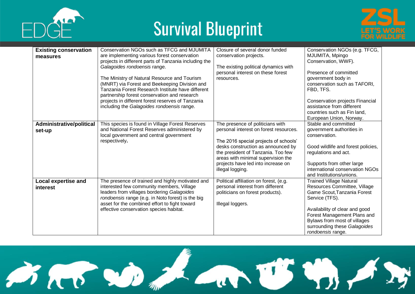





| <b>Existing conservation</b> | Conservation NGOs such as TFCG and MJUMITA            | Closure of several donor funded        | Conservation NGOs (e.g. TFCG,      |
|------------------------------|-------------------------------------------------------|----------------------------------------|------------------------------------|
| measures                     | are implementing various forest conservation          | conservation projects.                 | MJUMITA, Mpingo                    |
|                              | projects in different parts of Tanzania including the |                                        | Conservation, WWF).                |
|                              | Galagoides rondoensis range.                          | The existing political dynamics with   |                                    |
|                              |                                                       | personal interest on these forest      | Presence of committed              |
|                              | The Ministry of Natural Resource and Tourism          | resources.                             | government body in                 |
|                              | (MNRT) via Forest and Beekeeping Division and         |                                        | conservation such as TAFORI,       |
|                              | Tanzania Forest Research Institute have different     |                                        | FBD, TFS.                          |
|                              | partnership forest conservation and research          |                                        |                                    |
|                              | projects in different forest reserves of Tanzania     |                                        | Conservation projects Financial    |
|                              | including the Galagoides rondoensis range.            |                                        | assistance from different          |
|                              |                                                       |                                        | countries such as Fin land,        |
|                              |                                                       |                                        | European Union, Norway.            |
| Administrative/political     | This species is found in Village Forest Reserves      | The presence of politicians with       | Stable and committed               |
| set-up                       | and National Forest Reserves administered by          | personal interest on forest resources. | government authorities in          |
|                              | local government and central government               |                                        | conservation.                      |
|                              | respectively.                                         | The 2016 special projects of schools'  |                                    |
|                              |                                                       | desks construction as announced by     | Good wildlife and forest policies, |
|                              |                                                       | the president of Tanzania. Too few     | regulations and act.               |
|                              |                                                       | areas with minimal supervision the     |                                    |
|                              |                                                       | projects have led into increase on     | Supports from other large          |
|                              |                                                       | illegal logging.                       | international conservation NGOs    |
|                              |                                                       |                                        | and Institutions/unions.           |
| <b>Local expertise and</b>   | The presence of trained and highly motivated and      | Political affiliation on forest, (e.g. | <b>Trained Village Natural</b>     |
| <b>interest</b>              | interested few community members, Village             | personal interest from different       | Resources Committee, Village       |
|                              | leaders from villages bordering Galagoides            | politicians on forest products).       | Game Scout, Tanzania Forest        |
|                              | rondoensis range (e.g. in Noto forest) is the big     |                                        | Service (TFS).                     |
|                              | asset for the combined effort to fight toward         | Illegal loggers.                       |                                    |
|                              | effective conservation species habitat.               |                                        | Availability of clear and good     |
|                              |                                                       |                                        | Forest Management Plans and        |
|                              |                                                       |                                        | Bylaws from most of villages       |
|                              |                                                       |                                        | surrounding these Galagoides       |
|                              |                                                       |                                        | rondoensis range.                  |

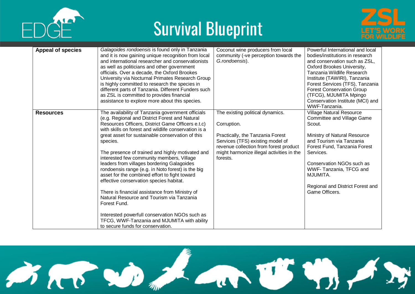





| <b>Appeal of species</b> | Galagoides rondoensis is found only in Tanzania<br>and it is now gaining unique recognition from local<br>and international researcher and conservationists<br>as well as politicians and other government<br>officials. Over a decade, the Oxford Brookes<br>University via Nocturnal Primates Research Group<br>is highly committed to research the species in<br>different parts of Tanzania. Different Funders such<br>as ZSL is committed to provides financial<br>assistance to explore more about this species.                                                                                                                                                                                                                                                                                                                | Coconut wine producers from local<br>community (-ve perception towards the<br>G.rondoensis).                                                                                                                               | Powerful International and local<br>bodies/institutions in research<br>and conservation such as ZSL,<br>Oxford Brookes University,<br>Tanzania Wildlife Research<br>Institute (TAWIRI), Tanzania<br>Forest Services (TFS), Tanzania<br><b>Forest Conservation Group</b><br>(TFCG), MJUMITA Mpingo<br>Conservation Institute (MCI) and<br>WWF-Tanzania. |
|--------------------------|---------------------------------------------------------------------------------------------------------------------------------------------------------------------------------------------------------------------------------------------------------------------------------------------------------------------------------------------------------------------------------------------------------------------------------------------------------------------------------------------------------------------------------------------------------------------------------------------------------------------------------------------------------------------------------------------------------------------------------------------------------------------------------------------------------------------------------------|----------------------------------------------------------------------------------------------------------------------------------------------------------------------------------------------------------------------------|--------------------------------------------------------------------------------------------------------------------------------------------------------------------------------------------------------------------------------------------------------------------------------------------------------------------------------------------------------|
| <b>Resources</b>         | The availability of Tanzania government officials<br>(e.g. Regional and District Forest and Natural<br>Resources Officers, District Game Officers e.t.c)<br>with skills on forest and wildlife conservation is a<br>great asset for sustainable conservation of this<br>species.<br>The presence of trained and highly motivated and<br>interested few community members, Village<br>leaders from villages bordering Galagoides<br>rondoensis range (e.g. in Noto forest) is the big<br>asset for the combined effort to fight toward<br>effective conservation species habitat.<br>There is financial assistance from Ministry of<br>Natural Resource and Tourism via Tanzania<br>Forest Fund.<br>Interested powerfull conservation NGOs such as<br>TFCG, WWF-Tanzania and MJUMITA with ability<br>to secure funds for conservation. | The existing political dynamics.<br>Corruption.<br>Practically, the Tanzania Forest<br>Services (TFS) existing model of<br>revenue collection from forest product<br>might harmonize illegal activities in the<br>forests. | <b>Village Natural Resource</b><br><b>Committee and Village Game</b><br>Scout.<br>Ministry of Natural Resource<br>and Tourism via Tanzania<br>Forest Fund, Tanzania Forest<br>Services.<br>Conservation NGOs such as<br>WWF-Tanzania, TFCG and<br>MJUMITA.<br>Regional and District Forest and<br>Game Officers.                                       |

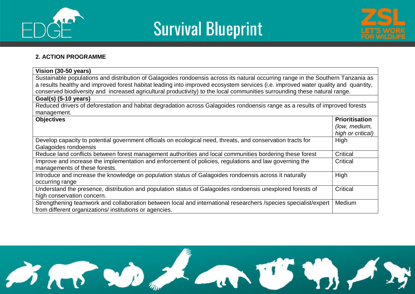





#### **2. ACTION PROGRAMME**

| Vision (30-50 years)                                                                                                              |                       |  |  |  |
|-----------------------------------------------------------------------------------------------------------------------------------|-----------------------|--|--|--|
| Sustainable populations and distribution of Galagoides rondoensis across its natural occurring range in the Southern Tanzania as  |                       |  |  |  |
| a results healthy and improved forest habitat leading into improved ecosystem services (i.e. improved water quality and quantity, |                       |  |  |  |
| conserved biodiversity and increased agricultural productivity) to the local communities surrounding these natural range.         |                       |  |  |  |
| Goal(s) (5-10 years)                                                                                                              |                       |  |  |  |
| Reduced drivers of deforestation and habitat degradation across Galagoides rondoensis range as a results of improved forests      |                       |  |  |  |
| management.                                                                                                                       |                       |  |  |  |
| <b>Objectives</b>                                                                                                                 | <b>Prioritisation</b> |  |  |  |
|                                                                                                                                   | (low, medium,         |  |  |  |
|                                                                                                                                   | high or critical)     |  |  |  |
| Develop capacity to potential government officials on ecological need, threats, and conservation tracts for                       | High                  |  |  |  |
| Galagoides rondoensis                                                                                                             |                       |  |  |  |
| Reduce land conflicts between forest management authorities and local communities bordering these forest                          | Critical              |  |  |  |
| Improve and increase the implementation and enforcement of policies, regulations and law governing the                            | Critical              |  |  |  |
| managements of these forests.                                                                                                     |                       |  |  |  |
| Introduce and increase the knowledge on population status of Galagoides rondoensis across it naturally                            | High                  |  |  |  |
| occurring range                                                                                                                   |                       |  |  |  |
| Understand the presence, distribution and population status of Galagoides rondoensis unexplored forests of                        |                       |  |  |  |
| high conservation concern.                                                                                                        |                       |  |  |  |
| Strengthening teamwork and collaboration between local and international researchers /species specialist/expert                   | Medium                |  |  |  |
| from different organizations/ institutions or agencies.                                                                           |                       |  |  |  |

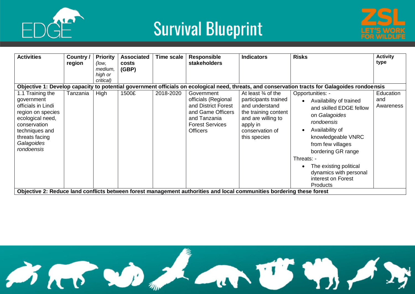



| Objective 1: Develop capacity to potential government officials on ecological need, threats, and conservation tracts for Galagoides rondoensis<br>1.1 Training the<br><b>High</b><br>1500£<br>2018-2020<br>Government<br>Opportunities: -<br>Education<br>At least $\frac{3}{4}$ of the<br>Tanzania<br>officials (Regional<br>participants trained<br>government<br>and<br>Availability of trained<br>$\bullet$<br>officials in Lindi<br>and District Forest<br>and understand<br>Awareness<br>and skilled EDGE fellow<br>and Game Officers<br>the training content<br>region on species<br>on Galagoides<br>ecological need,<br>and Tanzania<br>and are willing to<br>rondoensis<br><b>Forest Services</b><br>conservation<br>apply in<br>Availability of<br><b>Officers</b><br>techniques and<br>conservation of<br>threats facing<br>knowledgeable VNRC<br>this species<br>Galagoides<br>from few villages<br>rondoensis<br>bordering GR range<br>Threats: -<br>The existing political<br>dynamics with personal<br>interest on Forest | <b>Activities</b> | Country /<br>region | <b>Priority</b><br>(low,<br>medium,<br>high or<br>critical) | <b>Associated</b><br>costs<br>(GBP) | Time scale | <b>Responsible</b><br><b>stakeholders</b> | <b>Indicators</b> | <b>Risks</b>    | <b>Activity</b><br>type |
|-------------------------------------------------------------------------------------------------------------------------------------------------------------------------------------------------------------------------------------------------------------------------------------------------------------------------------------------------------------------------------------------------------------------------------------------------------------------------------------------------------------------------------------------------------------------------------------------------------------------------------------------------------------------------------------------------------------------------------------------------------------------------------------------------------------------------------------------------------------------------------------------------------------------------------------------------------------------------------------------------------------------------------------------|-------------------|---------------------|-------------------------------------------------------------|-------------------------------------|------------|-------------------------------------------|-------------------|-----------------|-------------------------|
| Objective 2: Reduce land conflicts between forest management authorities and local communities bordering these forest                                                                                                                                                                                                                                                                                                                                                                                                                                                                                                                                                                                                                                                                                                                                                                                                                                                                                                                     |                   |                     |                                                             |                                     |            |                                           |                   | <b>Products</b> |                         |

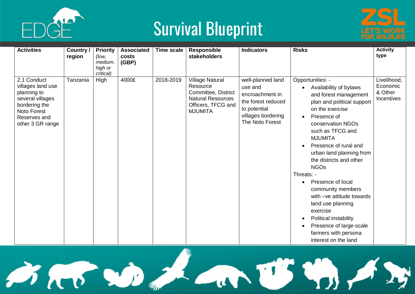



| <b>Activities</b>                                                                                                                              | Country /<br>region | <b>Priority</b><br>(low,<br>medium,<br>high or<br>critical) | <b>Associated</b><br>costs<br>(GBP) | Time scale | <b>Responsible</b><br>stakeholders                                                                                            | <b>Indicators</b>                                                                                                              | <b>Risks</b>                                                                                                                                                                                                                                                                                                                                                                                                                                                                                                                         | <b>Activity</b><br>type                                 |
|------------------------------------------------------------------------------------------------------------------------------------------------|---------------------|-------------------------------------------------------------|-------------------------------------|------------|-------------------------------------------------------------------------------------------------------------------------------|--------------------------------------------------------------------------------------------------------------------------------|--------------------------------------------------------------------------------------------------------------------------------------------------------------------------------------------------------------------------------------------------------------------------------------------------------------------------------------------------------------------------------------------------------------------------------------------------------------------------------------------------------------------------------------|---------------------------------------------------------|
| 2.1 Conduct<br>villages land use<br>planning to<br>several villages<br>bordering the<br><b>Noto Forest</b><br>Reserves and<br>other 3 GR range | Tanzania            | High                                                        | 4000£                               | 2018-2019  | <b>Village Natural</b><br>Resource<br>Committee, District<br><b>Natural Resources</b><br>Officers, TFCG and<br><b>MJUMITA</b> | well-planned land<br>use and<br>encroachment in<br>the forest reduced<br>to potential<br>villages bordering<br>The Noto Forest | Opportunities: -<br>Availability of bylaws<br>and forest management<br>plan and political support<br>on the exercise<br>Presence of<br>conservation NGOs<br>such as TFCG and<br><b>MJUMITA</b><br>Presence of rural and<br>urban land planning from<br>the districts and other<br><b>NGOs</b><br>Threats: -<br>Presence of local<br>$\bullet$<br>community members<br>with -ve attitude towards<br>land use planning<br>exercise<br>Political instability<br>Presence of large-scale<br>farmers with persona<br>interest on the land | Livelihood,<br>Economic<br>& Other<br><b>Incentives</b> |

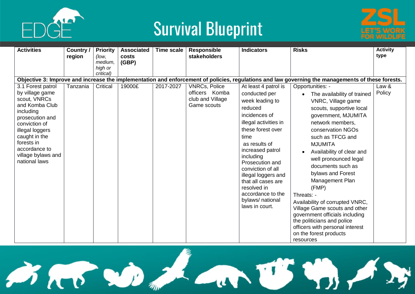



| <b>Activities</b>                                                                                                                                                                                            | Country /<br>region | <b>Priority</b><br>(low,<br>medium,<br>high or<br>critical) | <b>Associated</b><br>costs<br>(GBP) | <b>Time scale</b> | <b>Responsible</b><br>stakeholders                | <b>Indicators</b>                                                                                                                                                                                                                                                                                                                   | <b>Risks</b>                                                                                                                                                                                                                                                                                                                                                                                                                                                                                                                                             | <b>Activity</b><br>type |
|--------------------------------------------------------------------------------------------------------------------------------------------------------------------------------------------------------------|---------------------|-------------------------------------------------------------|-------------------------------------|-------------------|---------------------------------------------------|-------------------------------------------------------------------------------------------------------------------------------------------------------------------------------------------------------------------------------------------------------------------------------------------------------------------------------------|----------------------------------------------------------------------------------------------------------------------------------------------------------------------------------------------------------------------------------------------------------------------------------------------------------------------------------------------------------------------------------------------------------------------------------------------------------------------------------------------------------------------------------------------------------|-------------------------|
| 3.1 Forest patrol                                                                                                                                                                                            | Tanzania            | Critical                                                    | 19000£                              | 2017-2027         | <b>VNRCs, Police</b>                              | At least 4 patrol is                                                                                                                                                                                                                                                                                                                | Objective 3: Improve and increase the implementation and enforcement of policies, regulations and law governing the managements of these forests.<br>Opportunities: -                                                                                                                                                                                                                                                                                                                                                                                    | Law &                   |
| by village game<br>scout, VNRCs<br>and Komba Club<br>including<br>prosecution and<br>conviction of<br>illegal loggers<br>caught in the<br>forests in<br>accordance to<br>village bylaws and<br>national laws |                     |                                                             |                                     |                   | officers Komba<br>club and Village<br>Game scouts | conducted per<br>week leading to<br>reduced<br>incidences of<br>illegal activities in<br>these forest over<br>time<br>as results of<br>increased patrol<br>including<br>Prosecution and<br>conviction of all<br>illegal loggers and<br>that all cases are<br>resolved in<br>accordance to the<br>bylaws/ national<br>laws in court. | The availability of trained<br>$\bullet$<br>VNRC, Village game<br>scouts, supportive local<br>government, MJUMITA<br>network members,<br>conservation NGOs<br>such as TFCG and<br><b>MJUMITA</b><br>Availability of clear and<br>well pronounced legal<br>documents such as<br>bylaws and Forest<br>Management Plan<br>(FMP)<br>Threats: -<br>Availability of corrupted VNRC,<br>Village Game scouts and other<br>government officials including<br>the politicians and police<br>officers with personal interest<br>on the forest products<br>resources | Policy                  |

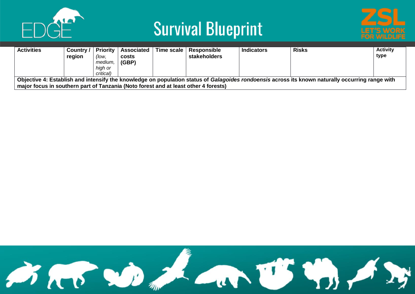



| <b>Activities</b>                                                                                                                                                                                                                       | Country /<br>region | <b>Priority</b>  <br>(low,<br>medium,<br>high or<br>critical) | <b>Associated</b><br>costs<br>(GBP) |  | Time scale   Responsible<br><b>stakeholders</b> | <b>Indicators</b> | <b>Risks</b> | <b>Activity</b><br>type |  |  |
|-----------------------------------------------------------------------------------------------------------------------------------------------------------------------------------------------------------------------------------------|---------------------|---------------------------------------------------------------|-------------------------------------|--|-------------------------------------------------|-------------------|--------------|-------------------------|--|--|
| Objective 4: Establish and intensify the knowledge on population status of Galagoides rondoensis across its known naturally occurring range with<br>major focus in southern part of Tanzania (Noto forest and at least other 4 forests) |                     |                                                               |                                     |  |                                                 |                   |              |                         |  |  |

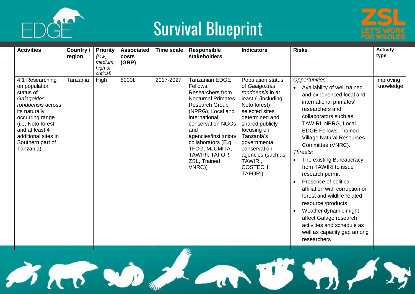



| <b>Activities</b>                                                                                                                                                                                                   | Country /<br>region | <b>Priority</b><br>(low,<br>medium,<br>high or<br>critical) | <b>Associated</b><br>costs<br>(GBP) | <b>Time scale</b> | <b>Responsible</b><br><b>stakeholders</b>                                                                                                                                                                                                                                                   | <b>Indicators</b>                                                                                                                                                                                                                                                              | <b>Risks</b>                                                                                                                                                                                                                                                                                                                                                                                                                                                                                                                                                                                        | <b>Activity</b><br>type |
|---------------------------------------------------------------------------------------------------------------------------------------------------------------------------------------------------------------------|---------------------|-------------------------------------------------------------|-------------------------------------|-------------------|---------------------------------------------------------------------------------------------------------------------------------------------------------------------------------------------------------------------------------------------------------------------------------------------|--------------------------------------------------------------------------------------------------------------------------------------------------------------------------------------------------------------------------------------------------------------------------------|-----------------------------------------------------------------------------------------------------------------------------------------------------------------------------------------------------------------------------------------------------------------------------------------------------------------------------------------------------------------------------------------------------------------------------------------------------------------------------------------------------------------------------------------------------------------------------------------------------|-------------------------|
| 4:1 Researching<br>on population<br>status of<br>Galagoides<br>rondoensis across<br>its naturally<br>occurring range<br>(i.e. Noto forest<br>and at least 4<br>additional sites in<br>Southern part of<br>Tanzania) | Tanzania            | High                                                        | 8000£                               | 2017-2027         | <b>Tanzanian EDGE</b><br>Fellows,<br>Researchers from<br><b>Nocturnal Primates</b><br><b>Research Group</b><br>(NPRG), Local and<br>international<br>conservation NGOs<br>and<br>agencies/institution/<br>collaborators (E.g.<br>TFCG, MJUMITA,<br>TAWIRI, TAFOR,<br>ZSL, Trained<br>VNRC)) | Population status<br>of Galagoides<br>rondoensis in at<br>least 6 (including<br>Noto forest)<br>selected sites<br>determined and<br>shared publicly<br>focusing on<br>Tanzania's<br>governmental<br>conservation<br>agencies (such as<br>TAWIRI.<br>COSTECH,<br><b>TAFORI)</b> | Opportunities:<br>Availability of well trained<br>and experienced local and<br>international primates'<br>researchers and<br>collaborators such as<br>TAWIRI, NPRG, Local<br><b>EDGE Fellows, Trained</b><br><b>Village Natural Resources</b><br>Committee (VNRC).<br>Threats:<br>The existing Bureaucracy<br>from TAWIRI to issue<br>research permit<br>Presence of political<br>affiliation with corruption on<br>forest and wildlife related<br>resource /products<br>Weather dynamic might<br>affect Galago research<br>activities and schedule as<br>well as capacity gap among<br>researchers | Improving<br>Knowledge  |

AD MARTS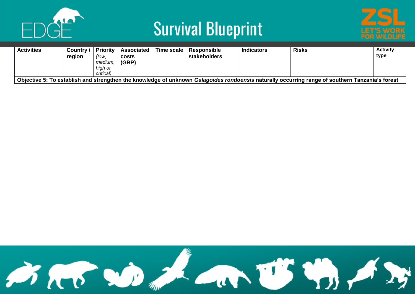



| <b>Activities</b>                                                                                                                               | Country /<br>region | <b>Priority</b><br>(low,<br>medium,<br>hiah or<br>critical) | Associated<br>costs<br>(GBP) |  | Time scale   Responsible<br>stakeholders | <b>Indicators</b> | <b>Risks</b> | <b>Activity</b><br>type |  |  |
|-------------------------------------------------------------------------------------------------------------------------------------------------|---------------------|-------------------------------------------------------------|------------------------------|--|------------------------------------------|-------------------|--------------|-------------------------|--|--|
| Objective 5: To establish and strengthen the knowledge of unknown Galagoides rondoensis naturally occurring range of southern Tanzania's forest |                     |                                                             |                              |  |                                          |                   |              |                         |  |  |

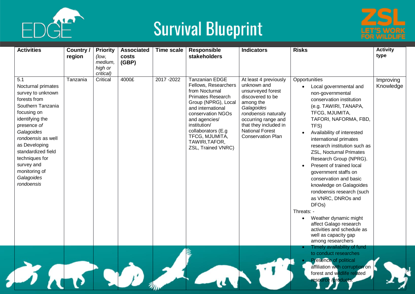



| <b>Activities</b>                                                                                                                                                                                                                                                                            | Country /<br>region | <b>Priority</b><br>(low,<br>medium,<br>high or<br>critical) | <b>Associated</b><br>costs<br>(GBP) | <b>Time scale</b> | <b>Responsible</b><br>stakeholders                                                                                                                                                                                                                                             | <b>Indicators</b>                                                                                                                                                                                                                      | <b>Risks</b>                                                                                                                                                                                                                                                                                                                                                                                                                                                                                                                                                                                                                                                       | <b>Activity</b><br>type |
|----------------------------------------------------------------------------------------------------------------------------------------------------------------------------------------------------------------------------------------------------------------------------------------------|---------------------|-------------------------------------------------------------|-------------------------------------|-------------------|--------------------------------------------------------------------------------------------------------------------------------------------------------------------------------------------------------------------------------------------------------------------------------|----------------------------------------------------------------------------------------------------------------------------------------------------------------------------------------------------------------------------------------|--------------------------------------------------------------------------------------------------------------------------------------------------------------------------------------------------------------------------------------------------------------------------------------------------------------------------------------------------------------------------------------------------------------------------------------------------------------------------------------------------------------------------------------------------------------------------------------------------------------------------------------------------------------------|-------------------------|
| 5.1<br>Nocturnal primates<br>survey to unknown<br>forests from<br>Southern Tanzania<br>focusing on<br>identifying the<br>presence of<br>Galagoides<br>rondoensis as well<br>as Developing<br>standardized field<br>techniques for<br>survey and<br>monitoring of<br>Galagoides<br>rondoensis | Tanzania            | Critical                                                    | 4000£                               | 2017-2022         | <b>Tanzanian EDGE</b><br>Fellows, Researchers<br>from Nocturnal<br><b>Primates Research</b><br>Group (NPRG), Local<br>and international<br>conservation NGOs<br>and agencies/<br>institution/<br>collaborators (E.g.<br>TFCG, MJUMITA,<br>TAWIRI, TAFOR,<br>ZSL, Trained VNRC) | At least 4 previously<br>unknown and<br>unsurveyed forest<br>discovered to be<br>among the<br>Galagoides<br>rondoensis naturally<br>occurring range and<br>that they included in<br><b>National Forest</b><br><b>Conservation Plan</b> | Opportunities<br>Local governmental and<br>non-governmental<br>conservation institution<br>(e.g. TAWIRI, TANAPA,<br>TFCG, MJUMITA,<br>TAFORI, NAFORMA, FBD,<br>TFS)<br>Availability of interested<br>international primates<br>research institution such as<br><b>ZSL, Nocturnal Primates</b><br>Research Group (NPRG).<br>Present of trained local<br>government staffs on<br>conservation and basic<br>knowledge on Galagoides<br>rondoensis research (such<br>as VNRC, DNROs and<br>DFO <sub>s</sub> )<br>Threats: -<br>Weather dynamic might<br>$\bullet$<br>affect Galago research<br>activities and schedule as<br>well as capacity gap<br>among researchers | Improving<br>Knowledge  |
|                                                                                                                                                                                                                                                                                              |                     |                                                             |                                     |                   |                                                                                                                                                                                                                                                                                |                                                                                                                                                                                                                                        | Timely availability of fund<br>to conduct researches<br><b>Presence of political</b><br>affiliation with corruption on<br>forest and wildlife related<br>esource /products.                                                                                                                                                                                                                                                                                                                                                                                                                                                                                        |                         |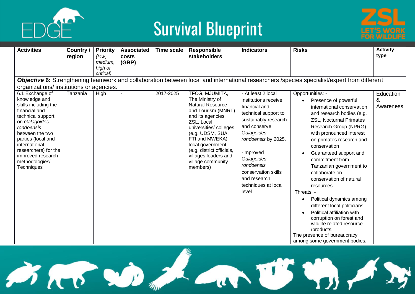



| <b>Activities</b>                                                                                                                                                                                                                                                    | Country /<br>region | <b>Priority</b><br>(low,<br>medium,<br>high or<br>critical) | <b>Associated</b><br>costs<br>(GBP) | Time scale | <b>Responsible</b><br>stakeholders                                                                                                                                                                                                                                                              | <b>Indicators</b>                                                                                                                                                                                                                                                                | <b>Risks</b>                                                                                                                                                                                                                                                                                                                                                                                                                                                                                                                                                                                                           | <b>Activity</b><br>type     |
|----------------------------------------------------------------------------------------------------------------------------------------------------------------------------------------------------------------------------------------------------------------------|---------------------|-------------------------------------------------------------|-------------------------------------|------------|-------------------------------------------------------------------------------------------------------------------------------------------------------------------------------------------------------------------------------------------------------------------------------------------------|----------------------------------------------------------------------------------------------------------------------------------------------------------------------------------------------------------------------------------------------------------------------------------|------------------------------------------------------------------------------------------------------------------------------------------------------------------------------------------------------------------------------------------------------------------------------------------------------------------------------------------------------------------------------------------------------------------------------------------------------------------------------------------------------------------------------------------------------------------------------------------------------------------------|-----------------------------|
| organizations/ institutions or agencies.                                                                                                                                                                                                                             |                     |                                                             |                                     |            |                                                                                                                                                                                                                                                                                                 |                                                                                                                                                                                                                                                                                  | Objective 6: Strengthening teamwork and collaboration between local and international researchers /species specialist/expert from different                                                                                                                                                                                                                                                                                                                                                                                                                                                                            |                             |
| 6.1 Exchange of<br>knowledge and<br>skills including the<br>financial and<br>technical support<br>on Galagoides<br>rondoensis<br>between the two<br>parties (local and<br>international<br>researchers) for the<br>improved research<br>methodologies/<br>Techniques | Tanzania            | High                                                        |                                     | 2017-2025  | TFCG, MJUMITA,<br>The Ministry of<br><b>Natural Resource</b><br>and Tourism (MNRT)<br>and its agencies,<br>ZSL, Local<br>universities/colleges<br>(e.g. UDSM, SUA,<br>FTI and MWEKA),<br>local government<br>(e.g. district officials,<br>villages leaders and<br>village community<br>members) | - At least 2 local<br>institutions receive<br>financial and<br>technical support to<br>sustainably research<br>and conserve<br>Galagoides<br>rondoensis by 2025.<br>-Improved<br>Galagoides<br>rondoensis<br>conservation skills<br>and research<br>techniques at local<br>level | Opportunities: -<br>Presence of powerful<br>international conservation<br>and research bodies (e.g.<br><b>ZSL, Nocturnal Primates</b><br>Research Group (NPRG)<br>with pronounced interest<br>on primates research and<br>conservation<br>Guaranteed support and<br>commitment from<br>Tanzanian government to<br>collaborate on<br>conservation of natural<br>resources<br>Threats: -<br>Political dynamics among<br>different local politicians<br>Political affiliation with<br>corruption on forest and<br>wildlife related resource<br>/products.<br>The presence of bureaucracy<br>among some government bodies. | Education<br>&<br>Awareness |

Bar De La Ury